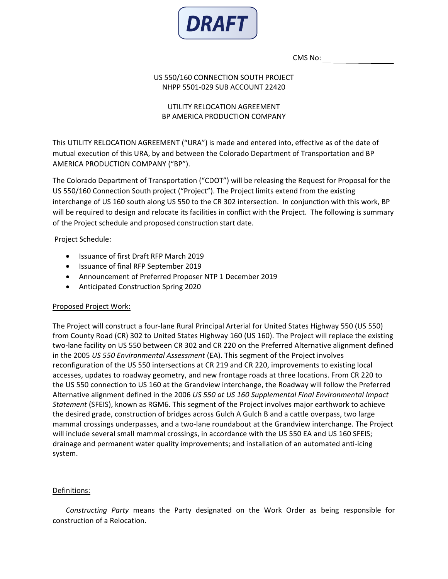

CMS No:

# US 550/160 CONNECTION SOUTH PROJECT NHPP 5501-029 SUB ACCOUNT 22420

# UTILITY RELOCATION AGREEMENT BP AMERICA PRODUCTION COMPANY

This UTILITY RELOCATION AGREEMENT ("URA") is made and entered into, effective as of the date of mutual execution of this URA, by and between the Colorado Department of Transportation and BP AMERICA PRODUCTION COMPANY ("BP").

The Colorado Department of Transportation ("CDOT") will be releasing the Request for Proposal for the US 550/160 Connection South project ("Project"). The Project limits extend from the existing interchange of US 160 south along US 550 to the CR 302 intersection. In conjunction with this work, BP will be required to design and relocate its facilities in conflict with the Project. The following is summary of the Project schedule and proposed construction start date.

# Project Schedule:

- Issuance of first Draft RFP March 2019
- Issuance of final RFP September 2019
- Announcement of Preferred Proposer NTP 1 December 2019
- Anticipated Construction Spring 2020

# Proposed Project Work:

The Project will construct a four-lane Rural Principal Arterial for United States Highway 550 (US 550) from County Road (CR) 302 to United States Highway 160 (US 160). The Project will replace the existing two-lane facility on US 550 between CR 302 and CR 220 on the Preferred Alternative alignment defined in the 2005 *US 550 Environmental Assessment* (EA). This segment of the Project involves reconfiguration of the US 550 intersections at CR 219 and CR 220, improvements to existing local accesses, updates to roadway geometry, and new frontage roads at three locations. From CR 220 to the US 550 connection to US 160 at the Grandview interchange, the Roadway will follow the Preferred Alternative alignment defined in the 2006 *US 550 at US 160 Supplemental Final Environmental Impact Statement* (SFEIS), known as RGM6. This segment of the Project involves major earthwork to achieve the desired grade, construction of bridges across Gulch A Gulch B and a cattle overpass, two large mammal crossings underpasses, and a two-lane roundabout at the Grandview interchange. The Project will include several small mammal crossings, in accordance with the US 550 EA and US 160 SFEIS; drainage and permanent water quality improvements; and installation of an automated anti-icing system.

## Definitions:

*Constructing Party* means the Party designated on the Work Order as being responsible for construction of a Relocation.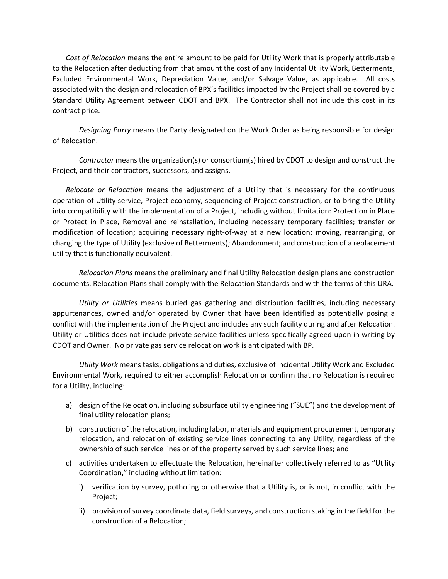*Cost of Relocation* means the entire amount to be paid for Utility Work that is properly attributable to the Relocation after deducting from that amount the cost of any Incidental Utility Work, Betterments, Excluded Environmental Work, Depreciation Value, and/or Salvage Value, as applicable. All costs associated with the design and relocation of BPX's facilities impacted by the Project shall be covered by a Standard Utility Agreement between CDOT and BPX. The Contractor shall not include this cost in its contract price.

*Designing Party* means the Party designated on the Work Order as being responsible for design of Relocation.

*Contractor* means the organization(s) or consortium(s) hired by CDOT to design and construct the Project, and their contractors, successors, and assigns.

*Relocate or Relocation* means the adjustment of a Utility that is necessary for the continuous operation of Utility service, Project economy, sequencing of Project construction, or to bring the Utility into compatibility with the implementation of a Project, including without limitation: Protection in Place or Protect in Place, Removal and reinstallation, including necessary temporary facilities; transfer or modification of location; acquiring necessary right-of-way at a new location; moving, rearranging, or changing the type of Utility (exclusive of Betterments); Abandonment; and construction of a replacement utility that is functionally equivalent.

*Relocation Plans* means the preliminary and final Utility Relocation design plans and construction documents. Relocation Plans shall comply with the Relocation Standards and with the terms of this URA.

*Utility or Utilities* means buried gas gathering and distribution facilities, including necessary appurtenances, owned and/or operated by Owner that have been identified as potentially posing a conflict with the implementation of the Project and includes any such facility during and after Relocation. Utility or Utilities does not include private service facilities unless specifically agreed upon in writing by CDOT and Owner. No private gas service relocation work is anticipated with BP.

*Utility Work* means tasks, obligations and duties, exclusive of Incidental Utility Work and Excluded Environmental Work, required to either accomplish Relocation or confirm that no Relocation is required for a Utility, including:

- a) design of the Relocation, including subsurface utility engineering ("SUE") and the development of final utility relocation plans;
- b) construction of the relocation, including labor, materials and equipment procurement, temporary relocation, and relocation of existing service lines connecting to any Utility, regardless of the ownership of such service lines or of the property served by such service lines; and
- c) activities undertaken to effectuate the Relocation, hereinafter collectively referred to as "Utility Coordination," including without limitation:
	- i) verification by survey, potholing or otherwise that a Utility is, or is not, in conflict with the Project;
	- ii) provision of survey coordinate data, field surveys, and construction staking in the field for the construction of a Relocation;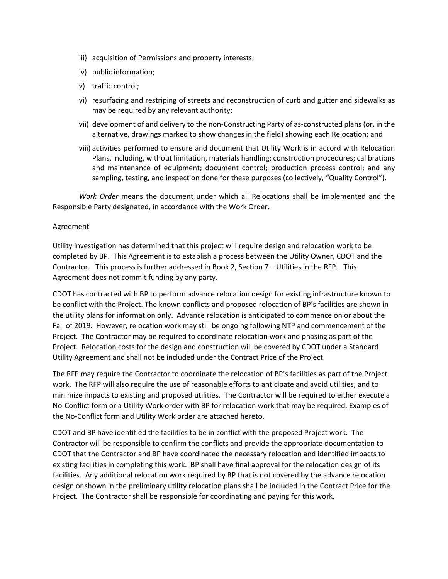- iii) acquisition of Permissions and property interests;
- iv) public information;
- v) traffic control;
- vi) resurfacing and restriping of streets and reconstruction of curb and gutter and sidewalks as may be required by any relevant authority;
- vii) development of and delivery to the non-Constructing Party of as-constructed plans (or, in the alternative, drawings marked to show changes in the field) showing each Relocation; and
- viii) activities performed to ensure and document that Utility Work is in accord with Relocation Plans, including, without limitation, materials handling; construction procedures; calibrations and maintenance of equipment; document control; production process control; and any sampling, testing, and inspection done for these purposes (collectively, "Quality Control").

*Work Order* means the document under which all Relocations shall be implemented and the Responsible Party designated, in accordance with the Work Order.

#### Agreement

Utility investigation has determined that this project will require design and relocation work to be completed by BP. This Agreement is to establish a process between the Utility Owner, CDOT and the Contractor. This process is further addressed in Book 2, Section 7 – Utilities in the RFP. This Agreement does not commit funding by any party.

CDOT has contracted with BP to perform advance relocation design for existing infrastructure known to be conflict with the Project. The known conflicts and proposed relocation of BP's facilities are shown in the utility plans for information only. Advance relocation is anticipated to commence on or about the Fall of 2019. However, relocation work may still be ongoing following NTP and commencement of the Project. The Contractor may be required to coordinate relocation work and phasing as part of the Project. Relocation costs for the design and construction will be covered by CDOT under a Standard Utility Agreement and shall not be included under the Contract Price of the Project.

The RFP may require the Contractor to coordinate the relocation of BP's facilities as part of the Project work. The RFP will also require the use of reasonable efforts to anticipate and avoid utilities, and to minimize impacts to existing and proposed utilities. The Contractor will be required to either execute a No-Conflict form or a Utility Work order with BP for relocation work that may be required. Examples of the No-Conflict form and Utility Work order are attached hereto.

CDOT and BP have identified the facilities to be in conflict with the proposed Project work. The Contractor will be responsible to confirm the conflicts and provide the appropriate documentation to CDOT that the Contractor and BP have coordinated the necessary relocation and identified impacts to existing facilities in completing this work. BP shall have final approval for the relocation design of its facilities. Any additional relocation work required by BP that is not covered by the advance relocation design or shown in the preliminary utility relocation plans shall be included in the Contract Price for the Project. The Contractor shall be responsible for coordinating and paying for this work.